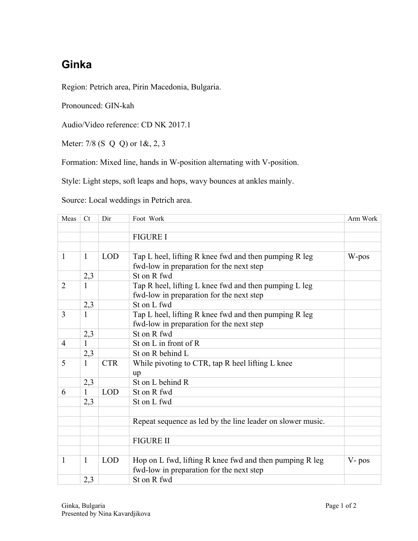## **Ginka**

Region: Petrich area, Pirin Macedonia, Bulgaria.

Pronounced: GIN-kah

Audio/Video reference: CD NK 2017.1

Meter: 7/8 (S Q Q) or 1&, 2, 3

Formation: Mixed line, hands in W-position alternating with V-position.

Style: Light steps, soft leaps and hops, wavy bounces at ankles mainly.

Source: Local weddings in Petrich area.

| Meas           | Ct           | Dir        | Foot Work                                                  | Arm Work |
|----------------|--------------|------------|------------------------------------------------------------|----------|
|                |              |            |                                                            |          |
|                |              |            | <b>FIGURE I</b>                                            |          |
|                |              |            |                                                            |          |
| $\mathbf{1}$   | $\mathbf{1}$ | <b>LOD</b> | Tap L heel, lifting R knee fwd and then pumping R leg      | W-pos    |
|                |              |            | fwd-low in preparation for the next step                   |          |
|                | 2,3          |            | St on R fwd                                                |          |
| $\overline{2}$ | $\mathbf{1}$ |            | Tap R heel, lifting L knee fwd and then pumping L leg      |          |
|                |              |            | fwd-low in preparation for the next step                   |          |
|                | 2,3          |            | St on L fwd                                                |          |
| 3              | $\mathbf{1}$ |            | Tap L heel, lifting R knee fwd and then pumping R leg      |          |
|                |              |            | fwd-low in preparation for the next step                   |          |
|                | 2,3          |            | St on R fwd                                                |          |
| $\overline{4}$ | 1            |            | St on L in front of R                                      |          |
|                | 2,3          |            | St on R behind L                                           |          |
| 5              | $\mathbf{1}$ | <b>CTR</b> | While pivoting to CTR, tap R heel lifting L knee           |          |
|                |              |            | up                                                         |          |
|                | 2,3          |            | St on L behind R                                           |          |
| 6              | 1            | <b>LOD</b> | St on R fwd                                                |          |
|                | 2,3          |            | St on L fwd                                                |          |
|                |              |            |                                                            |          |
|                |              |            | Repeat sequence as led by the line leader on slower music. |          |
|                |              |            |                                                            |          |
|                |              |            | <b>FIGURE II</b>                                           |          |
|                |              |            |                                                            |          |
| $\mathbf{1}$   | $\mathbf{1}$ | <b>LOD</b> | Hop on L fwd, lifting R knee fwd and then pumping R leg    | V-pos    |
|                |              |            | fwd-low in preparation for the next step                   |          |
|                | 2,3          |            | St on R fwd                                                |          |